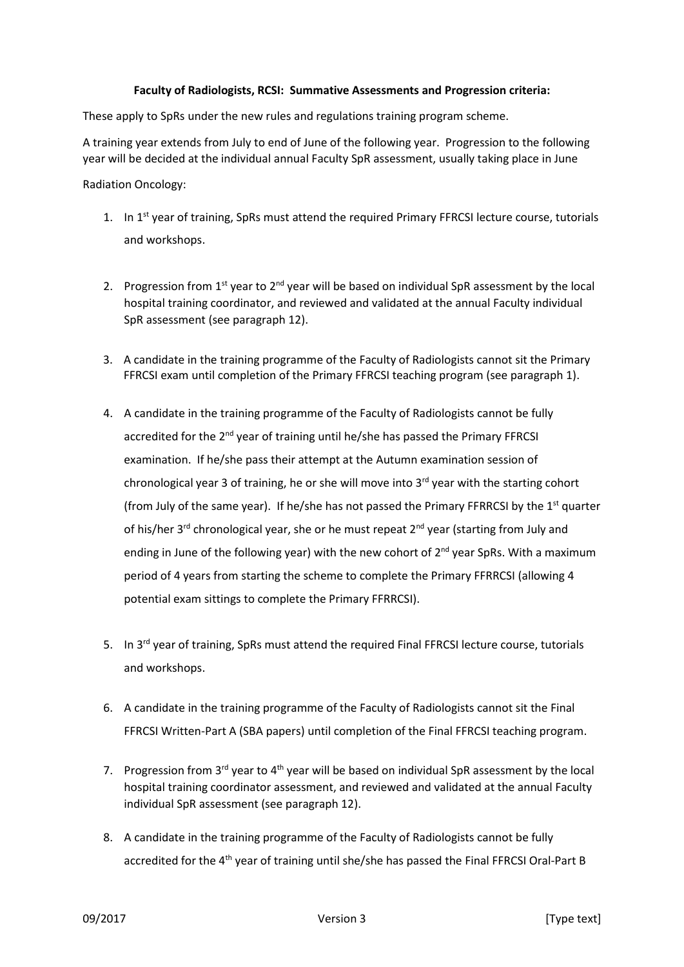## **Faculty of Radiologists, RCSI: Summative Assessments and Progression criteria:**

These apply to SpRs under the new rules and regulations training program scheme.

A training year extends from July to end of June of the following year. Progression to the following year will be decided at the individual annual Faculty SpR assessment, usually taking place in June

Radiation Oncology:

- 1. In 1<sup>st</sup> year of training, SpRs must attend the required Primary FFRCSI lecture course, tutorials and workshops.
- 2. Progression from  $1^{st}$  year to  $2^{nd}$  year will be based on individual SpR assessment by the local hospital training coordinator, and reviewed and validated at the annual Faculty individual SpR assessment (see paragraph 12).
- 3. A candidate in the training programme of the Faculty of Radiologists cannot sit the Primary FFRCSI exam until completion of the Primary FFRCSI teaching program (see paragraph 1).
- 4. A candidate in the training programme of the Faculty of Radiologists cannot be fully accredited for the 2<sup>nd</sup> year of training until he/she has passed the Primary FFRCSI examination. If he/she pass their attempt at the Autumn examination session of chronological year 3 of training, he or she will move into 3<sup>rd</sup> year with the starting cohort (from July of the same year). If he/she has not passed the Primary FFRRCSI by the  $1<sup>st</sup>$  quarter of his/her 3<sup>rd</sup> chronological year, she or he must repeat 2<sup>nd</sup> year (starting from July and ending in June of the following year) with the new cohort of  $2^{nd}$  year SpRs. With a maximum period of 4 years from starting the scheme to complete the Primary FFRRCSI (allowing 4 potential exam sittings to complete the Primary FFRRCSI).
- 5. In 3<sup>rd</sup> year of training, SpRs must attend the required Final FFRCSI lecture course, tutorials and workshops.
- 6. A candidate in the training programme of the Faculty of Radiologists cannot sit the Final FFRCSI Written-Part A (SBA papers) until completion of the Final FFRCSI teaching program.
- 7. Progression from  $3^{rd}$  year to  $4^{th}$  year will be based on individual SpR assessment by the local hospital training coordinator assessment, and reviewed and validated at the annual Faculty individual SpR assessment (see paragraph 12).
- 8. A candidate in the training programme of the Faculty of Radiologists cannot be fully accredited for the 4<sup>th</sup> year of training until she/she has passed the Final FFRCSI Oral-Part B